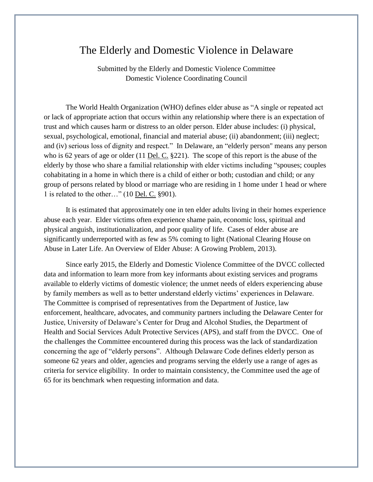#### The Elderly and Domestic Violence in Delaware

Submitted by the Elderly and Domestic Violence Committee Domestic Violence Coordinating Council

The World Health Organization (WHO) defines elder abuse as "A single or repeated act or lack of appropriate action that occurs within any relationship where there is an expectation of trust and which causes harm or distress to an older person. Elder abuse includes: (i) physical, sexual, psychological, emotional, financial and material abuse; (ii) abandonment; (iii) neglect; and (iv) serious loss of dignity and respect." In Delaware, an "elderly person" means any person who is 62 years of age or older (11 Del. C. §221). The scope of this report is the abuse of the elderly by those who share a familial relationship with elder victims including "spouses; couples cohabitating in a home in which there is a child of either or both; custodian and child; or any group of persons related by blood or marriage who are residing in 1 home under 1 head or where 1 is related to the other…" (10 Del. C. §901).

It is estimated that approximately one in ten elder adults living in their homes experience abuse each year. Elder victims often experience shame pain, economic loss, spiritual and physical anguish, institutionalization, and poor quality of life. Cases of elder abuse are significantly underreported with as few as 5% coming to light (National Clearing House on Abuse in Later Life. An Overview of Elder Abuse: A Growing Problem, 2013).

Since early 2015, the Elderly and Domestic Violence Committee of the DVCC collected data and information to learn more from key informants about existing services and programs available to elderly victims of domestic violence; the unmet needs of elders experiencing abuse by family members as well as to better understand elderly victims' experiences in Delaware. The Committee is comprised of representatives from the Department of Justice, law enforcement, healthcare, advocates, and community partners including the Delaware Center for Justice, University of Delaware's Center for Drug and Alcohol Studies, the Department of Health and Social Services Adult Protective Services (APS), and staff from the DVCC. One of the challenges the Committee encountered during this process was the lack of standardization concerning the age of "elderly persons". Although Delaware Code defines elderly person as someone 62 years and older, agencies and programs serving the elderly use a range of ages as criteria for service eligibility. In order to maintain consistency, the Committee used the age of 65 for its benchmark when requesting information and data.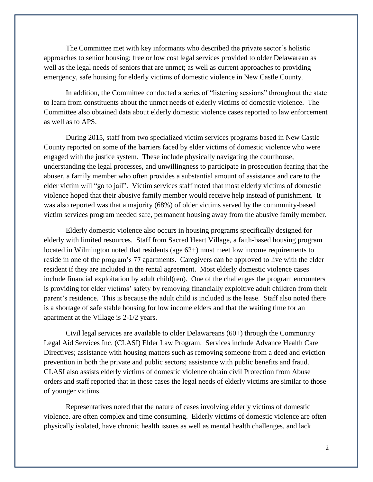The Committee met with key informants who described the private sector's holistic approaches to senior housing; free or low cost legal services provided to older Delawarean as well as the legal needs of seniors that are unmet; as well as current approaches to providing emergency, safe housing for elderly victims of domestic violence in New Castle County.

In addition, the Committee conducted a series of "listening sessions" throughout the state to learn from constituents about the unmet needs of elderly victims of domestic violence. The Committee also obtained data about elderly domestic violence cases reported to law enforcement as well as to APS.

During 2015, staff from two specialized victim services programs based in New Castle County reported on some of the barriers faced by elder victims of domestic violence who were engaged with the justice system. These include physically navigating the courthouse, understanding the legal processes, and unwillingness to participate in prosecution fearing that the abuser, a family member who often provides a substantial amount of assistance and care to the elder victim will "go to jail". Victim services staff noted that most elderly victims of domestic violence hoped that their abusive family member would receive help instead of punishment. It was also reported was that a majority (68%) of older victims served by the community-based victim services program needed safe, permanent housing away from the abusive family member.

Elderly domestic violence also occurs in housing programs specifically designed for elderly with limited resources. Staff from Sacred Heart Village, a faith-based housing program located in Wilmington noted that residents (age 62+) must meet low income requirements to reside in one of the program's 77 apartments. Caregivers can be approved to live with the elder resident if they are included in the rental agreement. Most elderly domestic violence cases include financial exploitation by adult child(ren). One of the challenges the program encounters is providing for elder victims' safety by removing financially exploitive adult children from their parent's residence. This is because the adult child is included is the lease. Staff also noted there is a shortage of safe stable housing for low income elders and that the waiting time for an apartment at the Village is 2-1/2 years.

Civil legal services are available to older Delawareans  $(60+)$  through the Community Legal Aid Services Inc. (CLASI) Elder Law Program. Services include Advance Health Care Directives; assistance with housing matters such as removing someone from a deed and eviction prevention in both the private and public sectors; assistance with public benefits and fraud. CLASI also assists elderly victims of domestic violence obtain civil Protection from Abuse orders and staff reported that in these cases the legal needs of elderly victims are similar to those of younger victims.

Representatives noted that the nature of cases involving elderly victims of domestic violence. are often complex and time consuming. Elderly victims of domestic violence are often physically isolated, have chronic health issues as well as mental health challenges, and lack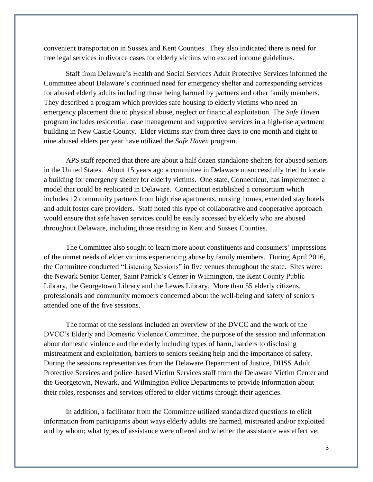convenient transportation in Sussex and Kent Counties. They also indicated there is need for free legal services in divorce cases for elderly victims who exceed income guidelines.

Staff from Delaware's Health and Social Services Adult Protective Services informed the Committee about Delaware's continued need for emergency shelter and corresponding services for abused elderly adults including those being harmed by partners and other family members. They described a program which provides safe housing to elderly victims who need an emergency placement due to physical abuse, neglect or financial exploitation. The *Safe Haven* program includes residential, case management and supportive services in a high-rise apartment building in New Castle County. Elder victims stay from three days to one month and eight to nine abused elders per year have utilized the *Safe Haven* program.

APS staff reported that there are about a half dozen standalone shelters for abused seniors in the United States. About 15 years ago a committee in Delaware unsuccessfully tried to locate a building for emergency shelter for elderly victims. One state, Connecticut, has implemented a model that could be replicated in Delaware. Connecticut established a consortium which includes 12 community partners from high rise apartments, nursing homes, extended stay hotels and adult foster care providers. Staff noted this type of collaborative and cooperative approach would ensure that safe haven services could be easily accessed by elderly who are abused throughout Delaware, including those residing in Kent and Sussex Counties.

The Committee also sought to learn more about constituents and consumers' impressions of the unmet needs of elder victims experiencing abuse by family members. During April 2016, the Committee conducted "Listening Sessions" in five venues throughout the state. Sites were: the Newark Senior Center, Saint Patrick's Center in Wilmington, the Kent County Public Library, the Georgetown Library and the Lewes Library. More than 55 elderly citizens, professionals and community members concerned about the well-being and safety of seniors attended one of the five sessions.

The format of the sessions included an overview of the DVCC and the work of the DVCC's Elderly and Domestic Violence Committee, the purpose of the session and information about domestic violence and the elderly including types of harm, barriers to disclosing mistreatment and exploitation, barriers to seniors seeking help and the importance of safety. During the sessions representatives from the Delaware Department of Justice, DHSS Adult Protective Services and police–based Victim Services staff from the Delaware Victim Center and the Georgetown, Newark, and Wilmington Police Departments to provide information about their roles, responses and services offered to elder victims through their agencies.

In addition, a facilitator from the Committee utilized standardized questions to elicit information from participants about ways elderly adults are harmed, mistreated and/or exploited and by whom; what types of assistance were offered and whether the assistance was effective;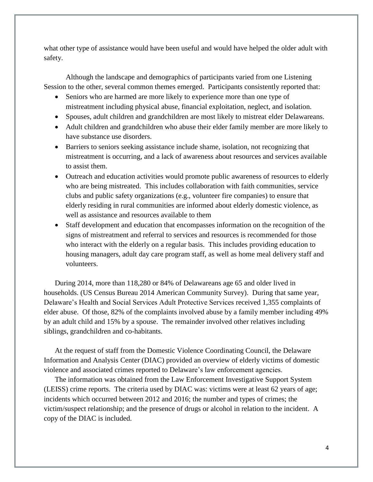what other type of assistance would have been useful and would have helped the older adult with safety.

Although the landscape and demographics of participants varied from one Listening Session to the other, several common themes emerged. Participants consistently reported that:

- Seniors who are harmed are more likely to experience more than one type of mistreatment including physical abuse, financial exploitation, neglect, and isolation.
- Spouses, adult children and grandchildren are most likely to mistreat elder Delawareans.
- Adult children and grandchildren who abuse their elder family member are more likely to have substance use disorders.
- Barriers to seniors seeking assistance include shame, isolation, not recognizing that mistreatment is occurring, and a lack of awareness about resources and services available to assist them.
- Outreach and education activities would promote public awareness of resources to elderly who are being mistreated. This includes collaboration with faith communities, service clubs and public safety organizations (e.g., volunteer fire companies) to ensure that elderly residing in rural communities are informed about elderly domestic violence, as well as assistance and resources available to them
- Staff development and education that encompasses information on the recognition of the signs of mistreatment and referral to services and resources is recommended for those who interact with the elderly on a regular basis. This includes providing education to housing managers, adult day care program staff, as well as home meal delivery staff and volunteers.

During 2014, more than 118,280 or 84% of Delawareans age 65 and older lived in households. (US Census Bureau 2014 American Community Survey). During that same year, Delaware's Health and Social Services Adult Protective Services received 1,355 complaints of elder abuse. Of those, 82% of the complaints involved abuse by a family member including 49% by an adult child and 15% by a spouse. The remainder involved other relatives including siblings, grandchildren and co-habitants.

At the request of staff from the Domestic Violence Coordinating Council, the Delaware Information and Analysis Center (DIAC) provided an overview of elderly victims of domestic violence and associated crimes reported to Delaware's law enforcement agencies.

The information was obtained from the Law Enforcement Investigative Support System (LEISS) crime reports. The criteria used by DIAC was: victims were at least 62 years of age; incidents which occurred between 2012 and 2016; the number and types of crimes; the victim/suspect relationship; and the presence of drugs or alcohol in relation to the incident. A copy of the DIAC is included.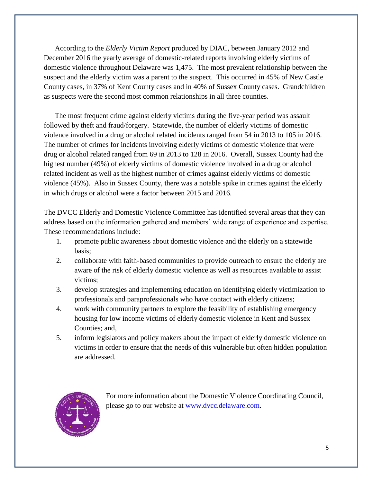According to the *Elderly Victim Report* produced by DIAC, between January 2012 and December 2016 the yearly average of domestic-related reports involving elderly victims of domestic violence throughout Delaware was 1,475. The most prevalent relationship between the suspect and the elderly victim was a parent to the suspect. This occurred in 45% of New Castle County cases, in 37% of Kent County cases and in 40% of Sussex County cases. Grandchildren as suspects were the second most common relationships in all three counties.

The most frequent crime against elderly victims during the five-year period was assault followed by theft and fraud/forgery. Statewide, the number of elderly victims of domestic violence involved in a drug or alcohol related incidents ranged from 54 in 2013 to 105 in 2016. The number of crimes for incidents involving elderly victims of domestic violence that were drug or alcohol related ranged from 69 in 2013 to 128 in 2016. Overall, Sussex County had the highest number (49%) of elderly victims of domestic violence involved in a drug or alcohol related incident as well as the highest number of crimes against elderly victims of domestic violence (45%). Also in Sussex County, there was a notable spike in crimes against the elderly in which drugs or alcohol were a factor between 2015 and 2016.

The DVCC Elderly and Domestic Violence Committee has identified several areas that they can address based on the information gathered and members' wide range of experience and expertise. These recommendations include:

- 1. promote public awareness about domestic violence and the elderly on a statewide basis;
- 2. collaborate with faith-based communities to provide outreach to ensure the elderly are aware of the risk of elderly domestic violence as well as resources available to assist victims;
- 3. develop strategies and implementing education on identifying elderly victimization to professionals and paraprofessionals who have contact with elderly citizens;
- 4. work with community partners to explore the feasibility of establishing emergency housing for low income victims of elderly domestic violence in Kent and Sussex Counties; and,
- 5. inform legislators and policy makers about the impact of elderly domestic violence on victims in order to ensure that the needs of this vulnerable but often hidden population are addressed.



For more information about the Domestic Violence Coordinating Council, please go to our website at [www.dvcc.delaware.com.](http://www.dvcc.delaware.com/)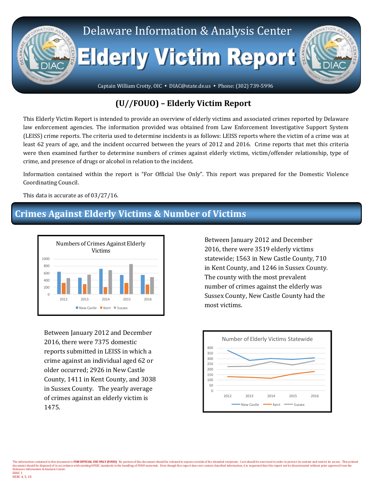

#### **(U//FOUO) – Elderly Victim Report**

This Elderly Victim Report is intended to provide an overview of elderly victims and associated crimes reported by Delaware law enforcement agencies. The information provided was obtained from Law Enforcement Investigative Support System (LEISS) crime reports. The criteria used to determine incidents is as follows: LEISS reports where the victim of a crime was at least 62 years of age, and the incident occurred between the years of 2012 and 2016. Crime reports that met this criteria were then examined further to determine numbers of crimes against elderly victims, victim/offender relationship, type of crime, and presence of drugs or alcohol in relation to the incident.

Information contained within the report is "For Official Use Only". This report was prepared for the Domestic Violence Coordinating Council.

This data is accurate as of 03/27/16.

## **Crimes Against Elderly Victims & Number of Victims**



Between January 2012 and December 2016, there were 7375 domestic reports submitted in LEISS in which a crime against an individual aged 62 or older occurred; 2926 in New Castle County, 1411 in Kent County, and 3038 in Sussex County. The yearly average of crimes against an elderly victim is 1475.

HSEC 4, 5, 10

Between January 2012 and December 2016, there were 3519 elderly victims statewide; 1563 in New Castle County, 710 in Kent County, and 1246 in Sussex County. The county with the most prevalent number of crimes against the elderly was Sussex County, New Castle County had the most victims.

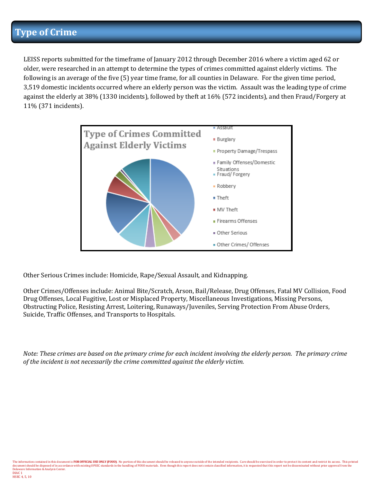## **Type of Crime**

LEISS reports submitted for the timeframe of January 2012 through December 2016 where a victim aged 62 or older, were researched in an attempt to determine the types of crimes committed against elderly victims. The following is an average of the five (5) year time frame, for all counties in Delaware. For the given time period, 3,519 domestic incidents occurred where an elderly person was the victim. Assault was the leading type of crime against the elderly at 38% (1330 incidents), followed by theft at 16% (572 incidents), and then Fraud/Forgery at 11% (371 incidents).



Other Serious Crimes include: Homicide, Rape/Sexual Assault, and Kidnapping.

Other Crimes/Offenses include: Animal Bite/Scratch, Arson, Bail/Release, Drug Offenses, Fatal MV Collision, Food Drug Offenses, Local Fugitive, Lost or Misplaced Property, Miscellaneous Investigations, Missing Persons, Obstructing Police, Resisting Arrest, Loitering, Runaways/Juveniles, Serving Protection From Abuse Orders, Suicide, Traffic Offenses, and Transports to Hospitals.

*Note: These crimes are based on the primary crime for each incident involving the elderly person. The primary crime of the incident is not necessarily the crime committed against the elderly victim.*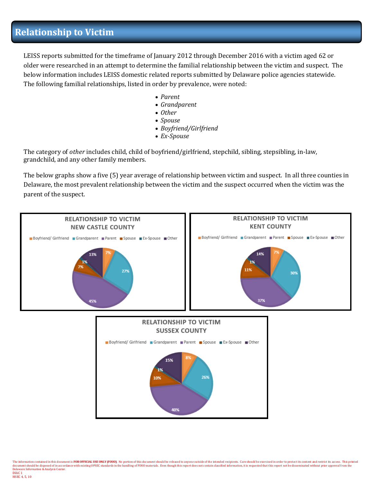## **Relationship to Victim**

LEISS reports submitted for the timeframe of January 2012 through December 2016 with a victim aged 62 or older were researched in an attempt to determine the familial relationship between the victim and suspect. The below information includes LEISS domestic related reports submitted by Delaware police agencies statewide. The following familial relationships, listed in order by prevalence, were noted:

- *Parent*
- *Grandparent*
- *Other*
- *Spouse*
- *Boyfriend/Girlfriend*
- *Ex-Spouse*

The category of *other* includes child, child of boyfriend/girlfriend, stepchild, sibling, stepsibling, in-law, grandchild, and any other family members.

The below graphs show a five (5) year average of relationship between victim and suspect. In all three counties in Delaware, the most prevalent relationship between the victim and the suspect occurred when the victim was the parent of the suspect.

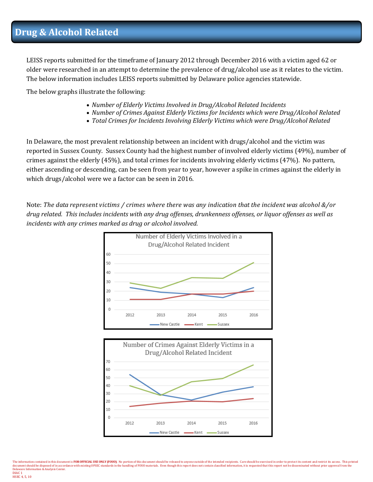LEISS reports submitted for the timeframe of January 2012 through December 2016 with a victim aged 62 or older were researched in an attempt to determine the prevalence of drug/alcohol use as it relates to the victim. The below information includes LEISS reports submitted by Delaware police agencies statewide.

The below graphs illustrate the following:

- *Number of Elderly Victims Involved in Drug/Alcohol Related Incidents*
- *Number of Crimes Against Elderly Victims for Incidents which were Drug/Alcohol Related*
- *Total Crimes for Incidents Involving Elderly Victims which were Drug/Alcohol Related*

In Delaware, the most prevalent relationship between an incident with drugs/alcohol and the victim was reported in Sussex County. Sussex County had the highest number of involved elderly victims (49%), number of crimes against the elderly (45%), and total crimes for incidents involving elderly victims (47%). No pattern, either ascending or descending, can be seen from year to year, however a spike in crimes against the elderly in which drugs/alcohol were we a factor can be seen in 2016.

Note: *The data represent victims / crimes where there was any indication that the incident was alcohol &/or drug related. This includes incidents with any drug offenses, drunkenness offenses, or liquor offenses as well as incidents with any crimes marked as drug or alcohol involved.*